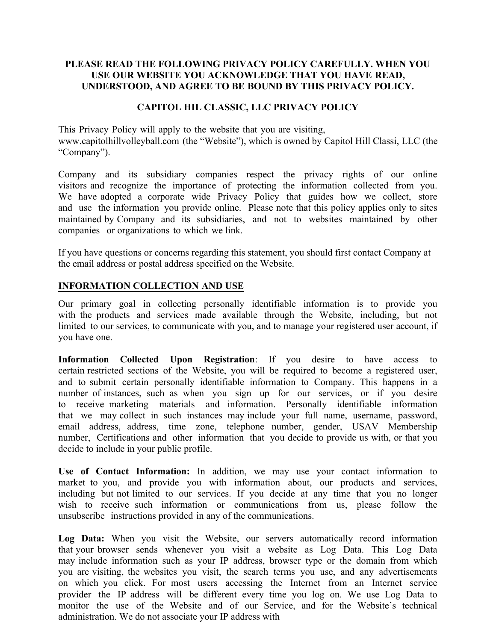## **PLEASE READ THE FOLLOWING PRIVACY POLICY CAREFULLY. WHEN YOU USE OUR WEBSITE YOU ACKNOWLEDGE THAT YOU HAVE READ, UNDERSTOOD, AND AGREE TO BE BOUND BY THIS PRIVACY POLICY.**

## **CAPITOL HIL CLASSIC, LLC PRIVACY POLICY**

This Privacy Policy will apply to the website that you are visiting, www.capitolhillvolleyball.com (the "Website"), which is owned by Capitol Hill Classi, LLC (the "Company").

Company and its subsidiary companies respect the privacy rights of our online visitors and recognize the importance of protecting the information collected from you. We have adopted a corporate wide Privacy Policy that guides how we collect, store and use the information you provide online. Please note that this policy applies only to sites maintained by Company and its subsidiaries, and not to websites maintained by other companies or organizations to which we link.

If you have questions or concerns regarding this statement, you should first contact Company at the email address or postal address specified on the Website.

## **INFORMATION COLLECTION AND USE**

Our primary goal in collecting personally identifiable information is to provide you with the products and services made available through the Website, including, but not limited to our services, to communicate with you, and to manage your registered user account, if you have one.

**Information Collected Upon Registration**: If you desire to have access to certain restricted sections of the Website, you will be required to become a registered user, and to submit certain personally identifiable information to Company. This happens in a number of instances, such as when you sign up for our services, or if you desire to receive marketing materials and information. Personally identifiable information that we may collect in such instances may include your full name, username, password, email address, address, time zone, telephone number, gender, USAV Membership number, Certifications and other information that you decide to provide us with, or that you decide to include in your public profile.

**Use of Contact Information:** In addition, we may use your contact information to market to you, and provide you with information about, our products and services, including but not limited to our services. If you decide at any time that you no longer wish to receive such information or communications from us, please follow the unsubscribe instructions provided in any of the communications.

**Log Data:** When you visit the Website, our servers automatically record information that your browser sends whenever you visit a website as Log Data. This Log Data may include information such as your IP address, browser type or the domain from which you are visiting, the websites you visit, the search terms you use, and any advertisements on which you click. For most users accessing the Internet from an Internet service provider the IP address will be different every time you log on. We use Log Data to monitor the use of the Website and of our Service, and for the Website's technical administration. We do not associate your IP address with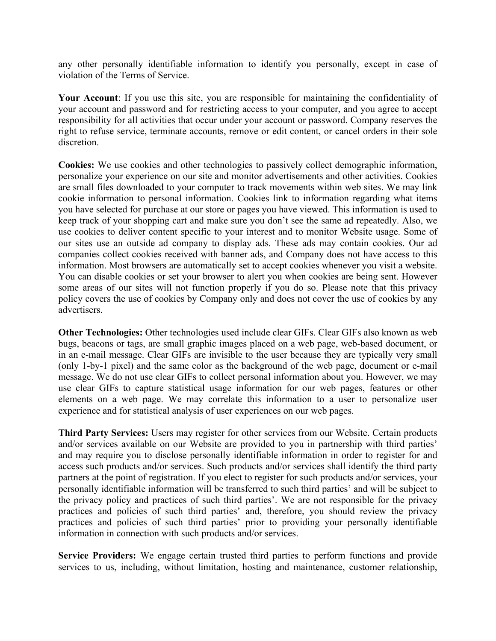any other personally identifiable information to identify you personally, except in case of violation of the Terms of Service.

**Your Account**: If you use this site, you are responsible for maintaining the confidentiality of your account and password and for restricting access to your computer, and you agree to accept responsibility for all activities that occur under your account or password. Company reserves the right to refuse service, terminate accounts, remove or edit content, or cancel orders in their sole discretion.

**Cookies:** We use cookies and other technologies to passively collect demographic information, personalize your experience on our site and monitor advertisements and other activities. Cookies are small files downloaded to your computer to track movements within web sites. We may link cookie information to personal information. Cookies link to information regarding what items you have selected for purchase at our store or pages you have viewed. This information is used to keep track of your shopping cart and make sure you don't see the same ad repeatedly. Also, we use cookies to deliver content specific to your interest and to monitor Website usage. Some of our sites use an outside ad company to display ads. These ads may contain cookies. Our ad companies collect cookies received with banner ads, and Company does not have access to this information. Most browsers are automatically set to accept cookies whenever you visit a website. You can disable cookies or set your browser to alert you when cookies are being sent. However some areas of our sites will not function properly if you do so. Please note that this privacy policy covers the use of cookies by Company only and does not cover the use of cookies by any advertisers.

**Other Technologies:** Other technologies used include clear GIFs. Clear GIFs also known as web bugs, beacons or tags, are small graphic images placed on a web page, web-based document, or in an e-mail message. Clear GIFs are invisible to the user because they are typically very small (only 1-by-1 pixel) and the same color as the background of the web page, document or e-mail message. We do not use clear GIFs to collect personal information about you. However, we may use clear GIFs to capture statistical usage information for our web pages, features or other elements on a web page. We may correlate this information to a user to personalize user experience and for statistical analysis of user experiences on our web pages.

**Third Party Services:** Users may register for other services from our Website. Certain products and/or services available on our Website are provided to you in partnership with third parties' and may require you to disclose personally identifiable information in order to register for and access such products and/or services. Such products and/or services shall identify the third party partners at the point of registration. If you elect to register for such products and/or services, your personally identifiable information will be transferred to such third parties' and will be subject to the privacy policy and practices of such third parties'. We are not responsible for the privacy practices and policies of such third parties' and, therefore, you should review the privacy practices and policies of such third parties' prior to providing your personally identifiable information in connection with such products and/or services.

**Service Providers:** We engage certain trusted third parties to perform functions and provide services to us, including, without limitation, hosting and maintenance, customer relationship,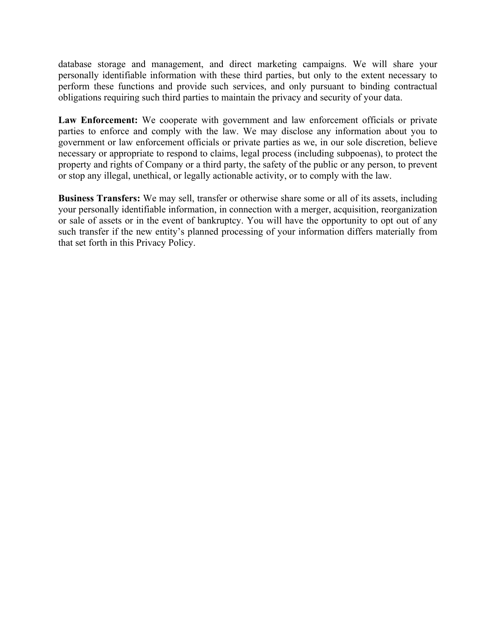database storage and management, and direct marketing campaigns. We will share your personally identifiable information with these third parties, but only to the extent necessary to perform these functions and provide such services, and only pursuant to binding contractual obligations requiring such third parties to maintain the privacy and security of your data.

**Law Enforcement:** We cooperate with government and law enforcement officials or private parties to enforce and comply with the law. We may disclose any information about you to government or law enforcement officials or private parties as we, in our sole discretion, believe necessary or appropriate to respond to claims, legal process (including subpoenas), to protect the property and rights of Company or a third party, the safety of the public or any person, to prevent or stop any illegal, unethical, or legally actionable activity, or to comply with the law.

**Business Transfers:** We may sell, transfer or otherwise share some or all of its assets, including your personally identifiable information, in connection with a merger, acquisition, reorganization or sale of assets or in the event of bankruptcy. You will have the opportunity to opt out of any such transfer if the new entity's planned processing of your information differs materially from that set forth in this Privacy Policy.